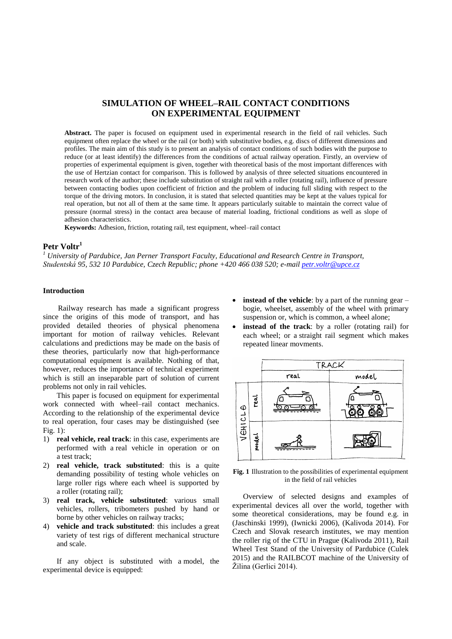# **SIMULATION OF WHEEL–RAIL CONTACT CONDITIONS ON EXPERIMENTAL EQUIPMENT**

**Abstract.** The paper is focused on equipment used in experimental research in the field of rail vehicles. Such equipment often replace the wheel or the rail (or both) with substitutive bodies, e.g. discs of different dimensions and profiles. The main aim of this study is to present an analysis of contact conditions of such bodies with the purpose to reduce (or at least identify) the differences from the conditions of actual railway operation. Firstly, an overview of properties of experimental equipment is given, together with theoretical basis of the most important differences with the use of Hertzian contact for comparison. This is followed by analysis of three selected situations encountered in research work of the author; these include substitution of straight rail with a roller (rotating rail), influence of pressure between contacting bodies upon coefficient of friction and the problem of inducing full sliding with respect to the torque of the driving motors. In conclusion, it is stated that selected quantities may be kept at the values typical for real operation, but not all of them at the same time. It appears particularly suitable to maintain the correct value of pressure (normal stress) in the contact area because of material loading, frictional conditions as well as slope of adhesion characteristics.

**Keywords:** Adhesion, friction, rotating rail, test equipment, wheel–rail contact

# **Petr Voltr<sup>1</sup>**

*<sup>1</sup> University of Pardubice, Jan Perner Transport Faculty, Educational and Research Centre in Transport, Studentská 95, 532 10 Pardubice, Czech Republic; phone +420 466 038 520; e-mai[l petr.voltr@upce.cz](mailto:petr.voltr@upce.cz)*

#### **Introduction**

Railway research has made a significant progress since the origins of this mode of transport, and has provided detailed theories of physical phenomena important for motion of railway vehicles. Relevant calculations and predictions may be made on the basis of these theories, particularly now that high-performance computational equipment is available. Nothing of that, however, reduces the importance of technical experiment which is still an inseparable part of solution of current problems not only in rail vehicles.

This paper is focused on equipment for experimental work connected with wheel–rail contact mechanics. According to the relationship of the experimental device to real operation, four cases may be distinguished (see Fig. 1):

- 1) **real vehicle, real track**: in this case, experiments are performed with a real vehicle in operation or on a test track;
- 2) **real vehicle, track substituted**: this is a quite demanding possibility of testing whole vehicles on large roller rigs where each wheel is supported by a roller (rotating rail);
- 3) **real track, vehicle substituted**: various small vehicles, rollers, tribometers pushed by hand or borne by other vehicles on railway tracks;
- 4) **vehicle and track substituted**: this includes a great variety of test rigs of different mechanical structure and scale.

If any object is substituted with a model, the experimental device is equipped:

- **instead of the vehicle**: by a part of the running gear bogie, wheelset, assembly of the wheel with primary suspension or, which is common, a wheel alone;
- **instead of the track**: by a roller (rotating rail) for each wheel; or a straight rail segment which makes repeated linear movments.



**Fig. 1** Illustration to the possibilities of experimental equipment in the field of rail vehicles

Overview of selected designs and examples of experimental devices all over the world, together with some theoretical considerations, may be found e.g. in (Jaschinski 1999), (Iwnicki 2006), (Kalivoda 2014). For Czech and Slovak research institutes, we may mention the roller rig of the CTU in Prague (Kalivoda 2011), Rail Wheel Test Stand of the University of Pardubice (Culek 2015) and the RAILBCOT machine of the University of Žilina (Gerlici 2014).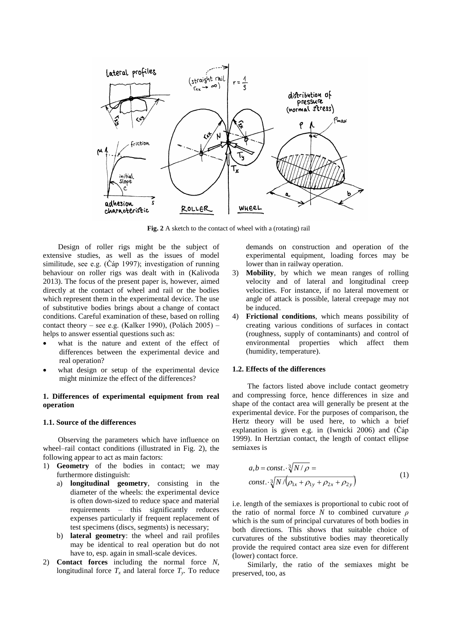

**Fig. 2** A sketch to the contact of wheel with a (rotating) rail

Design of roller rigs might be the subject of extensive studies, as well as the issues of model similitude, see e.g. (Čáp 1997); investigation of running behaviour on roller rigs was dealt with in (Kalivoda 2013). The focus of the present paper is, however, aimed directly at the contact of wheel and rail or the bodies which represent them in the experimental device. The use of substitutive bodies brings about a change of contact conditions. Careful examination of these, based on rolling contact theory – see e.g. (Kalker 1990), (Polách 2005) – helps to answer essential questions such as:

- what is the nature and extent of the effect of differences between the experimental device and real operation?
- what design or setup of the experimental device might minimize the effect of the differences?

## **1. Differences of experimental equipment from real operation**

#### **1.1. Source of the differences**

Observing the parameters which have influence on wheel–rail contact conditions (illustrated in Fig. 2), the following appear to act as main factors:

- 1) **Geometry** of the bodies in contact; we may furthermore distinguish:
	- a) **longitudinal geometry**, consisting in the diameter of the wheels: the experimental device is often down-sized to reduce space and material requirements – this significantly reduces expenses particularly if frequent replacement of test specimens (discs, segments) is necessary;
	- b) **lateral geometry**: the wheel and rail profiles may be identical to real operation but do not have to, esp. again in small-scale devices.
- 2) **Contact forces** including the normal force *N*, longitudinal force  $T_x$  and lateral force  $T_y$ . To reduce

demands on construction and operation of the experimental equipment, loading forces may be lower than in railway operation.

- 3) **Mobility**, by which we mean ranges of rolling velocity and of lateral and longitudinal creep velocities. For instance, if no lateral movement or angle of attack is possible, lateral creepage may not be induced.
- 4) **Frictional conditions**, which means possibility of creating various conditions of surfaces in contact (roughness, supply of contaminants) and control of environmental properties which affect them (humidity, temperature).

## **1.2. Effects of the differences**

The factors listed above include contact geometry and compressing force, hence differences in size and shape of the contact area will generally be present at the experimental device. For the purposes of comparison, the Hertz theory will be used here, to which a brief explanation is given e.g. in (Iwnicki 2006) and (Čáp 1999). In Hertzian contact, the length of contact ellipse semiaxes is

$$
a,b = const. \cdot \sqrt[3]{N/\rho} =
$$
  
const.  $\sqrt[3]{N/\rho_{1x} + \rho_{1y} + \rho_{2x} + \rho_{2y}}$  (1)

i.e. length of the semiaxes is proportional to cubic root of the ratio of normal force *N* to combined curvature *ρ* which is the sum of principal curvatures of both bodies in both directions. This shows that suitable choice of curvatures of the substitutive bodies may theoretically provide the required contact area size even for different (lower) contact force.

Similarly, the ratio of the semiaxes might be preserved, too, as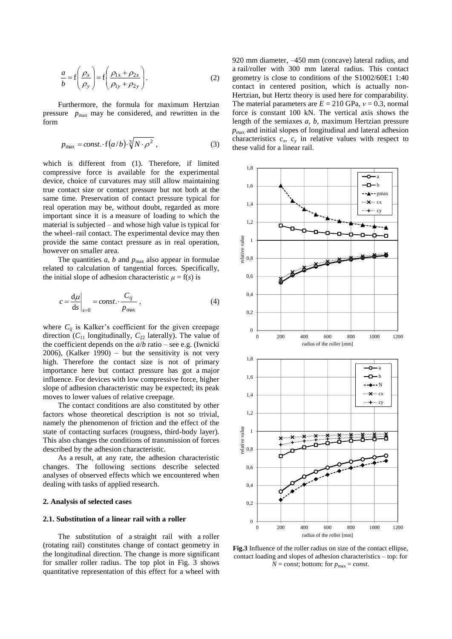$$
\frac{a}{b} = f\left(\frac{\rho_x}{\rho_y}\right) = f\left(\frac{\rho_{1x} + \rho_{2x}}{\rho_{1y} + \rho_{2y}}\right).
$$
\n(2)

Furthermore, the formula for maximum Hertzian pressure  $p_{\text{max}}$  may be considered, and rewritten in the form

$$
p_{\text{max}} = const. \cdot f\left(a/b\right) \cdot \sqrt[3]{N \cdot \rho^2} \,, \tag{3}
$$

which is different from (1). Therefore, if limited compressive force is available for the experimental device, choice of curvatures may still allow maintaining true contact size or contact pressure but not both at the same time. Preservation of contact pressure typical for real operation may be, without doubt, regarded as more important since it is a measure of loading to which the material is subjected – and whose high value is typical for the wheel–rail contact. The experimental device may then provide the same contact pressure as in real operation, however on smaller area.

The quantities  $a$ ,  $b$  and  $p_{\text{max}}$  also appear in formulae related to calculation of tangential forces. Specifically, the initial slope of adhesion characteristic  $\mu = f(s)$  is

$$
c = \frac{d\mu}{ds}\bigg|_{s=0} = const. \cdot \frac{C_{ij}}{p_{\text{max}}},
$$
\n(4)

where  $C_{ij}$  is Kalker's coefficient for the given creepage direction  $(C_{11}$  longitudinally,  $C_{22}$  laterally). The value of the coefficient depends on the *a*/*b* ratio – see e.g. (Iwnicki  $2006$ ), (Kalker 1990) – but the sensitivity is not very high. Therefore the contact size is not of primary importance here but contact pressure has got a major influence. For devices with low compressive force, higher slope of adhesion characteristic may be expected; its peak moves to lower values of relative creepage.

The contact conditions are also constituted by other factors whose theoretical description is not so trivial, namely the phenomenon of friction and the effect of the state of contacting surfaces (rougness, third-body layer). This also changes the conditions of transmission of forces described by the adhesion characteristic.

As a result, at any rate, the adhesion characteristic changes. The following sections describe selected analyses of observed effects which we encountered when dealing with tasks of applied research.

### **2. Analysis of selected cases**

### **2.1. Substitution of a linear rail with a roller**

The substitution of a straight rail with a roller (rotating rail) constitutes change of contact geometry in the longitudinal direction. The change is more significant for smaller roller radius. The top plot in Fig. 3 shows quantitative representation of this effect for a wheel with

920 mm diameter, –450 mm (concave) lateral radius, and a rail/roller with 300 mm lateral radius. This contact geometry is close to conditions of the S1002/60E1 1:40 contact in centered position, which is actually non-Hertzian, but Hertz theory is used here for comparability. The material parameters are *E* = 210 GPa, *ν* = 0.3, normal force is constant 100 kN. The vertical axis shows the length of the semiaxes *a*, *b*, maximum Hertzian pressure *p*max and initial slopes of longitudinal and lateral adhesion characteristics  $c_x$ ,  $c_y$  in relative values with respect to these valid for a linear rail.



**Fig.3** Influence of the roller radius on size of the contact ellipse, contact loading and slopes of adhesion characteristics – top: for  $N = const$ ; bottom: for  $p_{\text{max}} = const$ .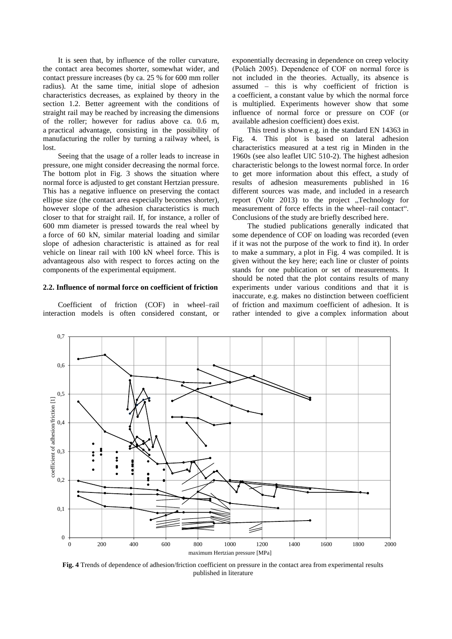It is seen that, by influence of the roller curvature, the contact area becomes shorter, somewhat wider, and contact pressure increases (by ca. 25 % for 600 mm roller radius). At the same time, initial slope of adhesion characteristics decreases, as explained by theory in the section 1.2. Better agreement with the conditions of straight rail may be reached by increasing the dimensions of the roller; however for radius above ca. 0.6 m, a practical advantage, consisting in the possibility of manufacturing the roller by turning a railway wheel, is lost.

Seeing that the usage of a roller leads to increase in pressure, one might consider decreasing the normal force. The bottom plot in Fig. 3 shows the situation where normal force is adjusted to get constant Hertzian pressure. This has a negative influence on preserving the contact ellipse size (the contact area especially becomes shorter), however slope of the adhesion characteristics is much closer to that for straight rail. If, for instance, a roller of 600 mm diameter is pressed towards the real wheel by a force of 60 kN, similar material loading and similar slope of adhesion characteristic is attained as for real vehicle on linear rail with 100 kN wheel force. This is advantageous also with respect to forces acting on the components of the experimental equipment.

# **2.2. Influence of normal force on coefficient of friction**

Coefficient of friction (COF) in wheel–rail interaction models is often considered constant, or exponentially decreasing in dependence on creep velocity (Polách 2005). Dependence of COF on normal force is not included in the theories. Actually, its absence is assumed – this is why coefficient of friction is a coefficient, a constant value by which the normal force is multiplied. Experiments however show that some influence of normal force or pressure on COF (or available adhesion coefficient) does exist.

This trend is shown e.g. in the standard EN 14363 in Fig. 4. This plot is based on lateral adhesion characteristics measured at a test rig in Minden in the 1960s (see also leaflet UIC 510-2). The highest adhesion characteristic belongs to the lowest normal force. In order to get more information about this effect, a study of results of adhesion measurements published in 16 different sources was made, and included in a research report (Voltr 2013) to the project "Technology for measurement of force effects in the wheel–rail contact". Conclusions of the study are briefly described here.

The studied publications generally indicated that some dependence of COF on loading was recorded (even if it was not the purpose of the work to find it). In order to make a summary, a plot in Fig. 4 was compiled. It is given without the key here; each line or cluster of points stands for one publication or set of measurements. It should be noted that the plot contains results of many experiments under various conditions and that it is inaccurate, e.g. makes no distinction between coefficient of friction and maximum coefficient of adhesion. It is rather intended to give a complex information about



**Fig. 4** Trends of dependence of adhesion/friction coefficient on pressure in the contact area from experimental results published in literature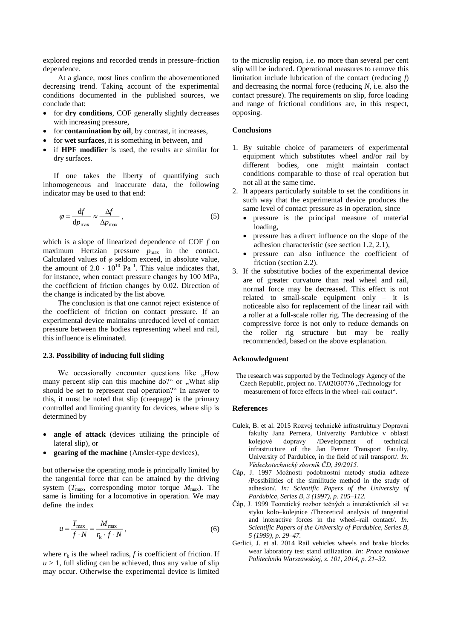explored regions and recorded trends in pressure–friction dependence.

At a glance, most lines confirm the abovementioned decreasing trend. Taking account of the experimental conditions documented in the published sources, we conclude that:

- for **dry conditions**, COF generally slightly decreases with increasing pressure,
- for **contamination by oil**, by contrast, it increases,
- for **wet surfaces**, it is something in between, and
- if **HPF modifier** is used, the results are similar for dry surfaces.

If one takes the liberty of quantifying such inhomogeneous and inaccurate data, the following indicator may be used to that end:

$$
\varphi = \frac{\mathrm{d}f}{\mathrm{d}p_{\mathrm{max}}} \approx \frac{\Delta f}{\Delta p_{\mathrm{max}}} \,, \tag{5}
$$

which is a slope of linearized dependence of COF *f* on maximum Hertzian pressure  $p_{\text{max}}$  in the contact. Calculated values of *φ* seldom exceed, in absolute value, the amount of  $2.0 \cdot 10^{10}$  Pa<sup>-1</sup>. This value indicates that, for instance, when contact pressure changes by 100 MPa, the coefficient of friction changes by 0.02. Direction of the change is indicated by the list above.

The conclusion is that one cannot reject existence of the coefficient of friction on contact pressure. If an experimental device maintains unreduced level of contact pressure between the bodies representing wheel and rail, this influence is eliminated.

### **2.3. Possibility of inducing full sliding**

We occasionally encounter questions like .How many percent slip can this machine do?" or . What slip should be set to represent real operation?" In answer to this, it must be noted that slip (creepage) is the primary controlled and limiting quantity for devices, where slip is determined by

- **angle of attack** (devices utilizing the principle of lateral slip), or
- **gearing of the machine** (Amsler-type devices),

but otherwise the operating mode is principally limited by the tangential force that can be attained by the driving system  $(T_{\text{max}}$ , corresponding motor torque  $M_{\text{max}}$ ). The same is limiting for a locomotive in operation. We may define the index

$$
u = \frac{T_{\text{max}}}{f \cdot N} = \frac{M_{\text{max}}}{r_{\text{k}} \cdot f \cdot N},
$$
 (6)

where  $r_k$  is the wheel radius, *f* is coefficient of friction. If  $u > 1$ , full sliding can be achieved, thus any value of slip may occur. Otherwise the experimental device is limited

to the microslip region, i.e. no more than several per cent slip will be induced. Operational measures to remove this limitation include lubrication of the contact (reducing *f*) and decreasing the normal force (reducing *N*, i.e. also the contact pressure). The requirements on slip, force loading and range of frictional conditions are, in this respect, opposing.

#### **Conclusions**

- 1. By suitable choice of parameters of experimental equipment which substitutes wheel and/or rail by different bodies, one might maintain contact conditions comparable to those of real operation but not all at the same time.
- 2. It appears particularly suitable to set the conditions in such way that the experimental device produces the same level of contact pressure as in operation, since
	- pressure is the principal measure of material loading,
	- pressure has a direct influence on the slope of the adhesion characteristic (see section 1.2, 2.1),
	- pressure can also influence the coefficient of friction (section 2.2).
- 3. If the substitutive bodies of the experimental device are of greater curvature than real wheel and rail, normal force may be decreased. This effect is not related to small-scale equipment only – it is noticeable also for replacement of the linear rail with a roller at a full-scale roller rig. The decreasing of the compressive force is not only to reduce demands on the roller rig structure but may be really recommended, based on the above explanation.

#### **Acknowledgment**

The research was supported by the Technology Agency of the Czech Republic, project no. TA02030776 "Technology for measurement of force effects in the wheel–rail contact".

#### **References**

- Culek, B. et al. 2015 Rozvoj technické infrastruktury Dopravní fakulty Jana Pernera, Univerzity Pardubice v oblasti kolejové dopravy /Development of technical infrastructure of the Jan Perner Transport Faculty, University of Pardubice, in the field of rail transport/. *In: Vědeckotechnický sborník ČD, 39/2015.*
- Čáp, J. 1997 Možnosti podobnostní metody studia adheze /Possibilities of the similitude method in the study of adhesion/. *In: Scientific Papers of the University of Pardubice, Series B, 3 (1997), p. 105–112.*
- Čáp, J. 1999 Teoretický rozbor tečných a interaktivních sil ve styku kolo–kolejnice /Theoretical analysis of tangential and interactive forces in the wheel–rail contact/. *In: Scientific Papers of the University of Pardubice, Series B, 5 (1999), p. 29–47.*
- Gerlici, J. et al. 2014 Rail vehicles wheels and brake blocks wear laboratory test stand utilization. *In: Prace naukowe Politechniki Warszawskiej, z. 101, 2014, p. 21–32.*